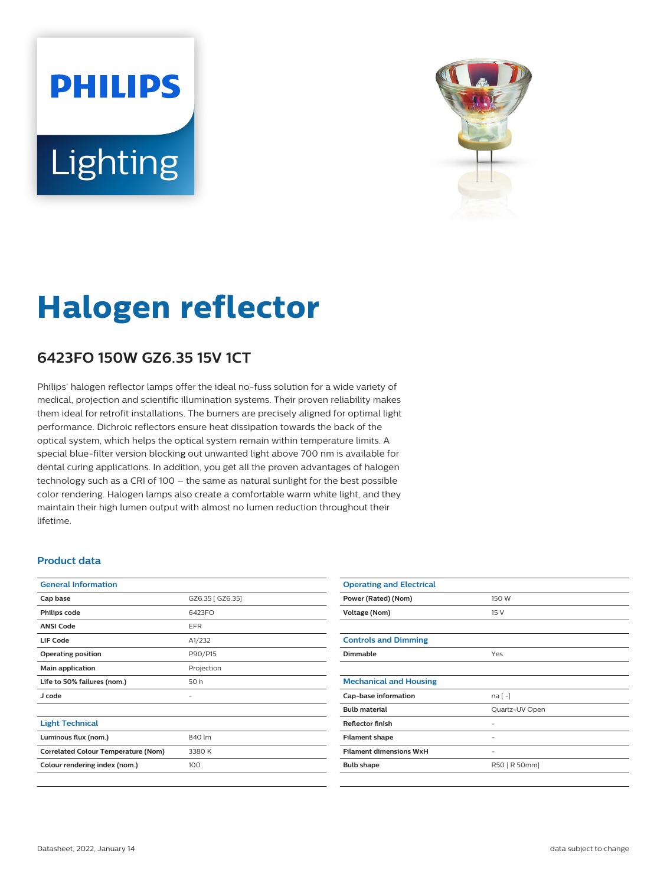# **PHILIPS** Lighting



# **Halogen reflector**

## **6423FO 150W GZ6.35 15V 1CT**

Philips' halogen reflector lamps offer the ideal no-fuss solution for a wide variety of medical, projection and scientific illumination systems. Their proven reliability makes them ideal for retrofit installations. The burners are precisely aligned for optimal light performance. Dichroic reflectors ensure heat dissipation towards the back of the optical system, which helps the optical system remain within temperature limits. A special blue-filter version blocking out unwanted light above 700 nm is available for dental curing applications. In addition, you get all the proven advantages of halogen technology such as a CRI of 100 – the same as natural sunlight for the best possible color rendering. Halogen lamps also create a comfortable warm white light, and they maintain their high lumen output with almost no lumen reduction throughout their lifetime.

#### **Product data**

| <b>General Information</b>                 |                  |
|--------------------------------------------|------------------|
| Cap base                                   | GZ6.35 [ GZ6.35] |
| Philips code                               | 6423FO           |
| <b>ANSI Code</b>                           | <b>EFR</b>       |
| LIF Code                                   | A1/232           |
| <b>Operating position</b>                  | P90/P15          |
| Main application                           | Projection       |
| Life to 50% failures (nom.)                | 50 h             |
| J code                                     |                  |
|                                            |                  |
| <b>Light Technical</b>                     |                  |
| Luminous flux (nom.)                       | 840 lm           |
| <b>Correlated Colour Temperature (Nom)</b> | 3380 K           |
| Colour rendering index (nom.)              | 100              |
|                                            |                  |

| <b>Operating and Electrical</b> |                |
|---------------------------------|----------------|
| Power (Rated) (Nom)             | 150 W          |
| Voltage (Nom)                   | 15 V           |
|                                 |                |
| <b>Controls and Dimming</b>     |                |
| <b>Dimmable</b>                 | Yes            |
|                                 |                |
| <b>Mechanical and Housing</b>   |                |
| Cap-base information            | $na[-]$        |
| <b>Bulb material</b>            | Quartz-UV Open |
| <b>Reflector finish</b>         |                |
| <b>Filament shape</b>           |                |
| <b>Filament dimensions WxH</b>  | -              |
| <b>Bulb shape</b>               | R50 [ R 50mm]  |
|                                 |                |